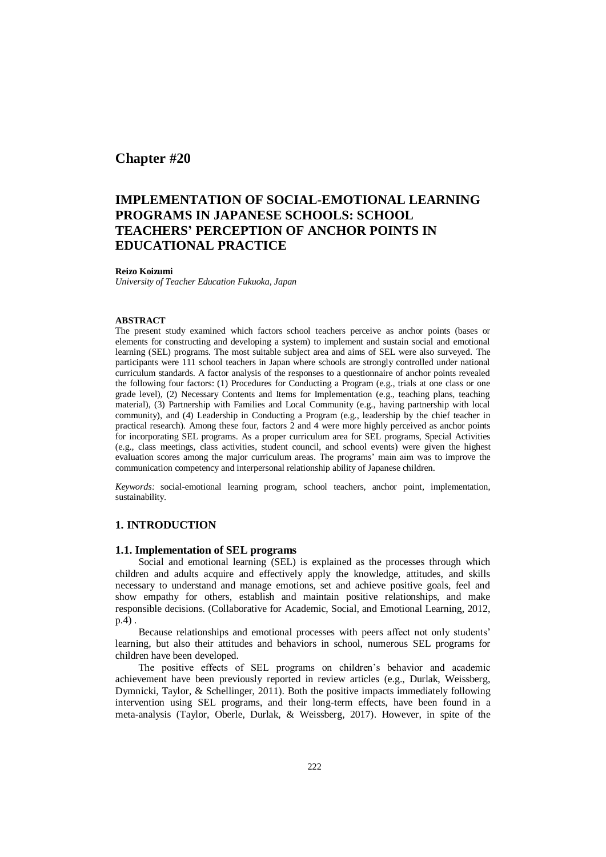## **Chapter #20**

# **IMPLEMENTATION OF SOCIAL-EMOTIONAL LEARNING PROGRAMS IN JAPANESE SCHOOLS: SCHOOL TEACHERS' PERCEPTION OF ANCHOR POINTS IN EDUCATIONAL PRACTICE**

#### **Reizo Koizumi**

*University of Teacher Education Fukuoka, Japan*

#### **ABSTRACT**

The present study examined which factors school teachers perceive as anchor points (bases or elements for constructing and developing a system) to implement and sustain social and emotional learning (SEL) programs. The most suitable subject area and aims of SEL were also surveyed. The participants were 111 school teachers in Japan where schools are strongly controlled under national curriculum standards. A factor analysis of the responses to a questionnaire of anchor points revealed the following four factors: (1) Procedures for Conducting a Program (e.g., trials at one class or one grade level), (2) Necessary Contents and Items for Implementation (e.g., teaching plans, teaching material), (3) Partnership with Families and Local Community (e.g., having partnership with local community), and (4) Leadership in Conducting a Program (e.g., leadership by the chief teacher in practical research). Among these four, factors 2 and 4 were more highly perceived as anchor points for incorporating SEL programs. As a proper curriculum area for SEL programs, Special Activities (e.g., class meetings, class activities, student council, and school events) were given the highest evaluation scores among the major curriculum areas. The programs' main aim was to improve the communication competency and interpersonal relationship ability of Japanese children.

*Keywords:* social-emotional learning program, school teachers, anchor point, implementation, sustainability.

## **1. INTRODUCTION**

#### **1.1. Implementation of SEL programs**

Social and emotional learning (SEL) is explained as the processes through which children and adults acquire and effectively apply the knowledge, attitudes, and skills necessary to understand and manage emotions, set and achieve positive goals, feel and show empathy for others, establish and maintain positive relationships, and make responsible decisions. (Collaborative for Academic, Social, and Emotional Learning, 2012, p.4) .

Because relationships and emotional processes with peers affect not only students' learning, but also their attitudes and behaviors in school, numerous SEL programs for children have been developed.

The positive effects of SEL programs on children's behavior and academic achievement have been previously reported in review articles (e.g., Durlak, Weissberg, Dymnicki, Taylor, & Schellinger, 2011). Both the positive impacts immediately following intervention using SEL programs, and their long-term effects, have been found in a meta-analysis (Taylor, Oberle, Durlak, & Weissberg, 2017). However, in spite of the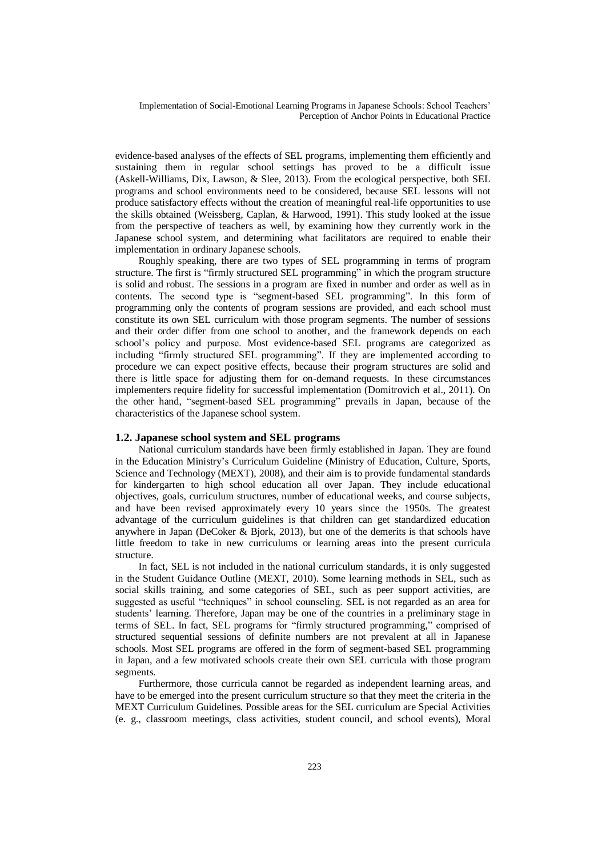evidence-based analyses of the effects of SEL programs, implementing them efficiently and sustaining them in regular school settings has proved to be a difficult issue (Askell-Williams, Dix, Lawson, & Slee, 2013). From the ecological perspective, both SEL programs and school environments need to be considered, because SEL lessons will not produce satisfactory effects without the creation of meaningful real-life opportunities to use the skills obtained (Weissberg, Caplan, & Harwood, 1991). This study looked at the issue from the perspective of teachers as well, by examining how they currently work in the Japanese school system, and determining what facilitators are required to enable their implementation in ordinary Japanese schools.

Roughly speaking, there are two types of SEL programming in terms of program structure. The first is "firmly structured SEL programming" in which the program structure is solid and robust. The sessions in a program are fixed in number and order as well as in contents. The second type is "segment-based SEL programming". In this form of programming only the contents of program sessions are provided, and each school must constitute its own SEL curriculum with those program segments. The number of sessions and their order differ from one school to another, and the framework depends on each school's policy and purpose. Most evidence-based SEL programs are categorized as including "firmly structured SEL programming". If they are implemented according to procedure we can expect positive effects, because their program structures are solid and there is little space for adjusting them for on-demand requests. In these circumstances implementers require fidelity for successful implementation (Domitrovich et al., 2011). On the other hand, "segment-based SEL programming" prevails in Japan, because of the characteristics of the Japanese school system.

#### **1.2. Japanese school system and SEL programs**

National curriculum standards have been firmly established in Japan. They are found in the Education Ministry's Curriculum Guideline (Ministry of Education, Culture, Sports, Science and Technology (MEXT), 2008), and their aim is to provide fundamental standards for kindergarten to high school education all over Japan. They include educational objectives, goals, curriculum structures, number of educational weeks, and course subjects, and have been revised approximately every 10 years since the 1950s. The greatest advantage of the curriculum guidelines is that children can get standardized education anywhere in Japan (DeCoker & Bjork, 2013), but one of the demerits is that schools have little freedom to take in new curriculums or learning areas into the present curricula structure.

In fact, SEL is not included in the national curriculum standards, it is only suggested in the Student Guidance Outline (MEXT, 2010). Some learning methods in SEL, such as social skills training, and some categories of SEL, such as peer support activities, are suggested as useful "techniques" in school counseling. SEL is not regarded as an area for students' learning. Therefore, Japan may be one of the countries in a preliminary stage in terms of SEL. In fact, SEL programs for "firmly structured programming," comprised of structured sequential sessions of definite numbers are not prevalent at all in Japanese schools. Most SEL programs are offered in the form of segment-based SEL programming in Japan, and a few motivated schools create their own SEL curricula with those program segments.

Furthermore, those curricula cannot be regarded as independent learning areas, and have to be emerged into the present curriculum structure so that they meet the criteria in the MEXT Curriculum Guidelines. Possible areas for the SEL curriculum are Special Activities (e. g., classroom meetings, class activities, student council, and school events), Moral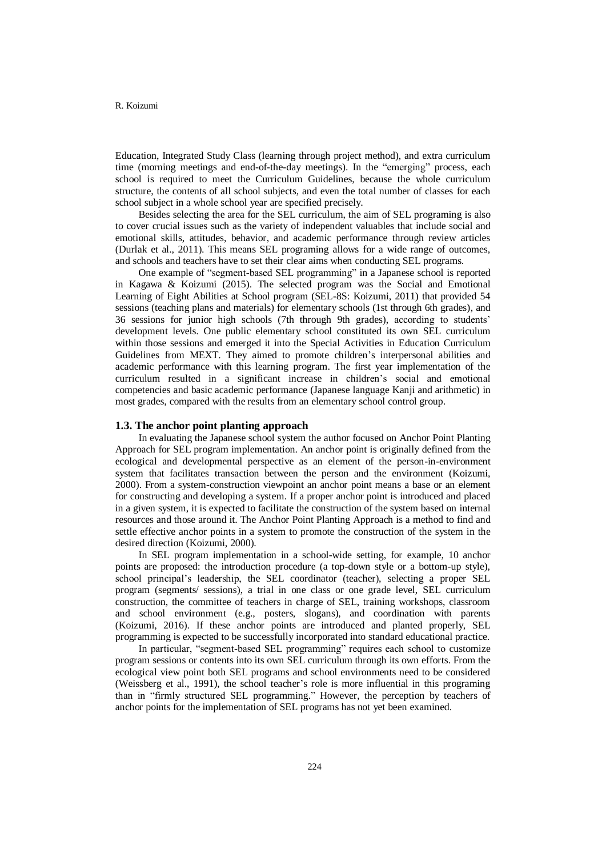Education, Integrated Study Class (learning through project method), and extra curriculum time (morning meetings and end-of-the-day meetings). In the "emerging" process, each school is required to meet the Curriculum Guidelines, because the whole curriculum structure, the contents of all school subjects, and even the total number of classes for each school subject in a whole school year are specified precisely.

Besides selecting the area for the SEL curriculum, the aim of SEL programing is also to cover crucial issues such as the variety of independent valuables that include social and emotional skills, attitudes, behavior, and academic performance through review articles (Durlak et al., 2011). This means SEL programing allows for a wide range of outcomes, and schools and teachers have to set their clear aims when conducting SEL programs.

One example of "segment-based SEL programming" in a Japanese school is reported in Kagawa & Koizumi (2015). The selected program was the Social and Emotional Learning of Eight Abilities at School program (SEL-8S: Koizumi, 2011) that provided 54 sessions (teaching plans and materials) for elementary schools (1st through 6th grades), and 36 sessions for junior high schools (7th through 9th grades), according to students' development levels. One public elementary school constituted its own SEL curriculum within those sessions and emerged it into the Special Activities in Education Curriculum Guidelines from MEXT. They aimed to promote children's interpersonal abilities and academic performance with this learning program. The first year implementation of the curriculum resulted in a significant increase in children's social and emotional competencies and basic academic performance (Japanese language Kanji and arithmetic) in most grades, compared with the results from an elementary school control group.

#### **1.3. The anchor point planting approach**

In evaluating the Japanese school system the author focused on Anchor Point Planting Approach for SEL program implementation. An anchor point is originally defined from the ecological and developmental perspective as an element of the person-in-environment system that facilitates transaction between the person and the environment (Koizumi, 2000). From a system-construction viewpoint an anchor point means a base or an element for constructing and developing a system. If a proper anchor point is introduced and placed in a given system, it is expected to facilitate the construction of the system based on internal resources and those around it. The Anchor Point Planting Approach is a method to find and settle effective anchor points in a system to promote the construction of the system in the desired direction (Koizumi, 2000).

In SEL program implementation in a school-wide setting, for example, 10 anchor points are proposed: the introduction procedure (a top-down style or a bottom-up style), school principal's leadership, the SEL coordinator (teacher), selecting a proper SEL program (segments/ sessions), a trial in one class or one grade level, SEL curriculum construction, the committee of teachers in charge of SEL, training workshops, classroom and school environment (e.g., posters, slogans), and coordination with parents (Koizumi, 2016). If these anchor points are introduced and planted properly, SEL programming is expected to be successfully incorporated into standard educational practice.

In particular, "segment-based SEL programming" requires each school to customize program sessions or contents into its own SEL curriculum through its own efforts. From the ecological view point both SEL programs and school environments need to be considered (Weissberg et al., 1991), the school teacher's role is more influential in this programing than in "firmly structured SEL programming." However, the perception by teachers of anchor points for the implementation of SEL programs has not yet been examined.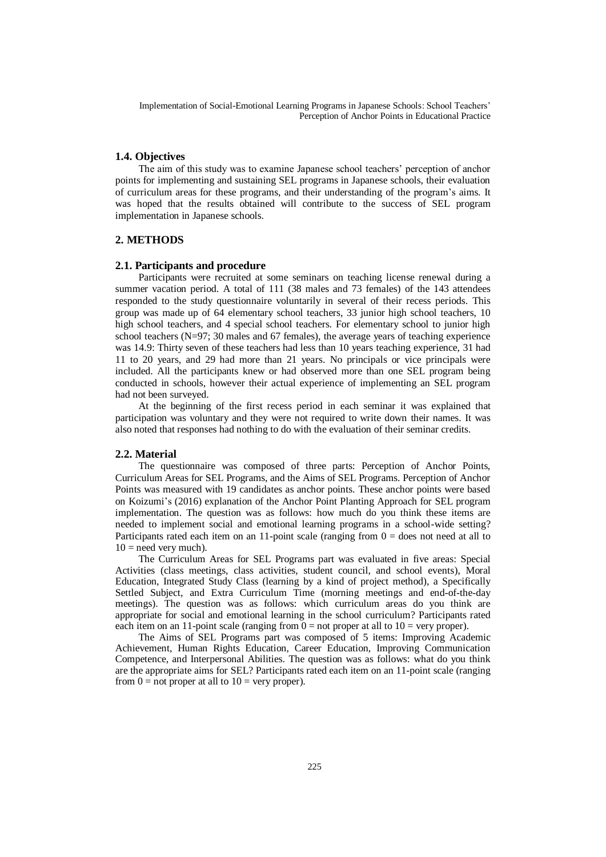#### **1.4. Objectives**

The aim of this study was to examine Japanese school teachers' perception of anchor points for implementing and sustaining SEL programs in Japanese schools, their evaluation of curriculum areas for these programs, and their understanding of the program's aims. It was hoped that the results obtained will contribute to the success of SEL program implementation in Japanese schools.

### **2. METHODS**

#### **2.1. Participants and procedure**

Participants were recruited at some seminars on teaching license renewal during a summer vacation period. A total of 111 (38 males and 73 females) of the 143 attendees responded to the study questionnaire voluntarily in several of their recess periods. This group was made up of 64 elementary school teachers, 33 junior high school teachers, 10 high school teachers, and 4 special school teachers. For elementary school to junior high school teachers  $(N=97; 30 \text{ males and } 67 \text{ females})$ , the average years of teaching experience was 14.9: Thirty seven of these teachers had less than 10 years teaching experience, 31 had 11 to 20 years, and 29 had more than 21 years. No principals or vice principals were included. All the participants knew or had observed more than one SEL program being conducted in schools, however their actual experience of implementing an SEL program had not been surveyed.

At the beginning of the first recess period in each seminar it was explained that participation was voluntary and they were not required to write down their names. It was also noted that responses had nothing to do with the evaluation of their seminar credits.

#### **2.2. Material**

The questionnaire was composed of three parts: Perception of Anchor Points, Curriculum Areas for SEL Programs, and the Aims of SEL Programs. Perception of Anchor Points was measured with 19 candidates as anchor points. These anchor points were based on Koizumi's (2016) explanation of the Anchor Point Planting Approach for SEL program implementation. The question was as follows: how much do you think these items are needed to implement social and emotional learning programs in a school-wide setting? Participants rated each item on an 11-point scale (ranging from  $0 =$  does not need at all to  $10 =$  need very much).

The Curriculum Areas for SEL Programs part was evaluated in five areas: Special Activities (class meetings, class activities, student council, and school events), Moral Education, Integrated Study Class (learning by a kind of project method), a Specifically Settled Subject, and Extra Curriculum Time (morning meetings and end-of-the-day meetings). The question was as follows: which curriculum areas do you think are appropriate for social and emotional learning in the school curriculum? Participants rated each item on an 11-point scale (ranging from  $0 =$  not proper at all to  $10 =$  very proper).

The Aims of SEL Programs part was composed of 5 items: Improving Academic Achievement, Human Rights Education, Career Education, Improving Communication Competence, and Interpersonal Abilities. The question was as follows: what do you think are the appropriate aims for SEL? Participants rated each item on an 11-point scale (ranging from  $0 =$  not proper at all to  $10 =$  very proper).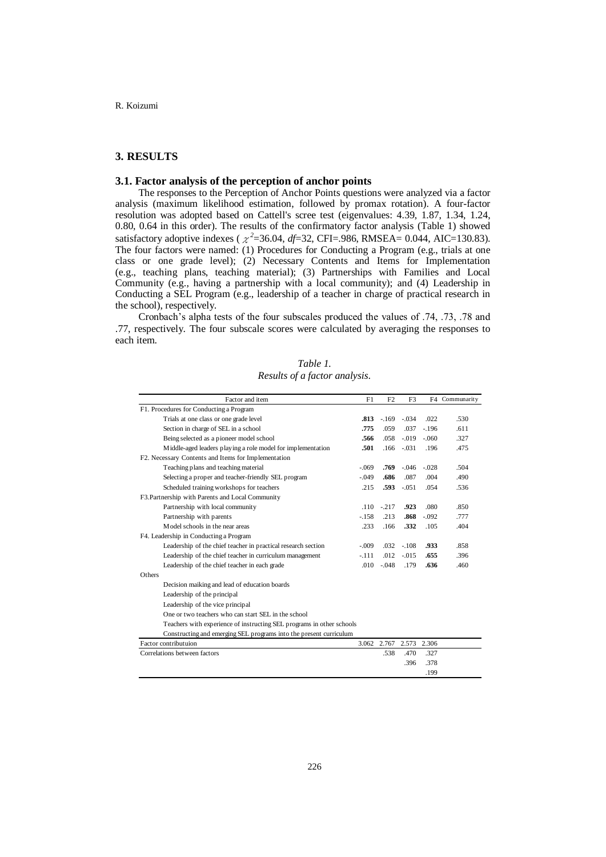## **3. RESULTS**

## **3.1. Factor analysis of the perception of anchor points**

The responses to the Perception of Anchor Points questions were analyzed via a factor analysis (maximum likelihood estimation, followed by promax rotation). A four-factor resolution was adopted based on Cattell's scree test (eigenvalues: 4.39, 1.87, 1.34, 1.24, 0.80, 0.64 in this order). The results of the confirmatory factor analysis (Table 1) showed satisfactory adoptive indexes ( $\chi^2$ =36.04, *df*=32, CFI=.986, RMSEA= 0.044, AIC=130.83). The four factors were named: (1) Procedures for Conducting a Program (e.g., trials at one class or one grade level); (2) Necessary Contents and Items for Implementation (e.g., teaching plans, teaching material); (3) Partnerships with Families and Local Community (e.g., having a partnership with a local community); and (4) Leadership in Conducting a SEL Program (e.g., leadership of a teacher in charge of practical research in the school), respectively.

Cronbach's alpha tests of the four subscales produced the values of .74, .73, .78 and .77, respectively. The four subscale scores were calculated by averaging the responses to each item.

| Table 1.                      |  |
|-------------------------------|--|
| Results of a factor analysis. |  |

| Factor and item                                                       |         | F <sub>2</sub> | F3      |         | F4 Communarity |
|-----------------------------------------------------------------------|---------|----------------|---------|---------|----------------|
| F1. Procedures for Conducting a Program                               |         |                |         |         |                |
| Trials at one class or one grade level                                |         | $-.169$        | $-.034$ | .022    | .530           |
| Section in charge of SEL in a school                                  |         | .059           | .037    | $-.196$ | .611           |
| Being selected as a pioneer model school                              |         | .058           | $-.019$ | $-.060$ | .327           |
| Middle-aged leaders playing a role model for implementation           |         | .166           | $-.031$ | .196    | .475           |
| F2. Necessary Contents and Items for Implementation                   |         |                |         |         |                |
| Teaching plans and teaching material                                  | $-.069$ | .769           | $-.046$ | $-.028$ | .504           |
| Selecting a proper and teacher-friendly SEL program                   |         | .686           | .087    | .004    | .490           |
| Scheduled training workshops for teachers                             |         | .593           | $-.051$ | .054    | .536           |
| F3. Partnership with Parents and Local Community                      |         |                |         |         |                |
| Partnership with local community                                      | .110    | $-.217$        | .923    | .080    | .850           |
| Partnership with parents                                              | $-.158$ | .213           | .868    | $-.092$ | .777           |
| Model schools in the near areas                                       | .233    | .166           | .332    | .105    | .404           |
| F4. Leadership in Conducting a Program                                |         |                |         |         |                |
| Leadership of the chief teacher in practical research section         | $-.009$ | .032           | $-.108$ | .933    | .858           |
| Leadership of the chief teacher in curriculum management              | $-.111$ | .012           | $-.015$ | .655    | .396           |
| Leadership of the chief teacher in each grade                         | .010    | $-.048$        | .179    | .636    | .460           |
| Others                                                                |         |                |         |         |                |
| Decision maiking and lead of education boards                         |         |                |         |         |                |
| Leadership of the principal                                           |         |                |         |         |                |
| Leadership of the vice principal                                      |         |                |         |         |                |
| One or two teachers who can start SEL in the school                   |         |                |         |         |                |
| Teachers with experience of instructing SEL programs in other schools |         |                |         |         |                |
| Constructing and emerging SEL programs into the present curriculum    |         |                |         |         |                |
| Factor contributuion                                                  | 3.062   | 2.767          | 2.573   | 2.306   |                |
| Correlations between factors                                          |         | .538           | .470    | .327    |                |
|                                                                       |         |                | .396    | .378    |                |
|                                                                       |         |                |         | .199    |                |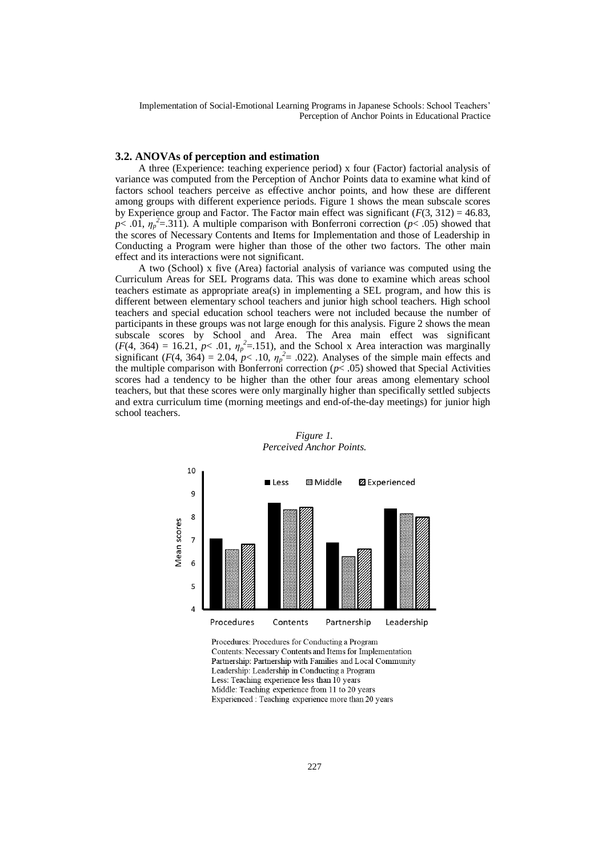#### **3.2. ANOVAs of perception and estimation**

A three (Experience: teaching experience period) x four (Factor) factorial analysis of variance was computed from the Perception of Anchor Points data to examine what kind of factors school teachers perceive as effective anchor points, and how these are different among groups with different experience periods. Figure 1 shows the mean subscale scores by Experience group and Factor. The Factor main effect was significant  $(F(3, 312) = 46.83$ , *p*< .01,  $\eta_p^2$ =.311). A multiple comparison with Bonferroni correction (*p*< .05) showed that the scores of Necessary Contents and Items for Implementation and those of Leadership in Conducting a Program were higher than those of the other two factors. The other main effect and its interactions were not significant.

A two (School) x five (Area) factorial analysis of variance was computed using the Curriculum Areas for SEL Programs data. This was done to examine which areas school teachers estimate as appropriate area(s) in implementing a SEL program, and how this is different between elementary school teachers and junior high school teachers. High school teachers and special education school teachers were not included because the number of participants in these groups was not large enough for this analysis. Figure 2 shows the mean subscale scores by School and Area. The Area main effect was significant  $(F(4, 364) = 16.21, p < .01, \eta_p^2 = .151)$ , and the School x Area interaction was marginally significant ( $F(4, 364) = 2.04$ ,  $p < .10$ ,  $\eta_p^2 = .022$ ). Analyses of the simple main effects and the multiple comparison with Bonferroni correction  $(p< .05)$  showed that Special Activities scores had a tendency to be higher than the other four areas among elementary school teachers, but that these scores were only marginally higher than specifically settled subjects and extra curriculum time (morning meetings and end-of-the-day meetings) for junior high school teachers.



*Figure 1. Perceived Anchor Points.*

Procedures: Procedures for Conducting a Program Contents: Necessary Contents and Items for Implementation Partnership: Partnership with Families and Local Community Leadership: Leadership in Conducting a Program Less: Teaching experience less than 10 years Middle: Teaching experience from 11 to 20 years Experienced : Teaching experience more than 20 years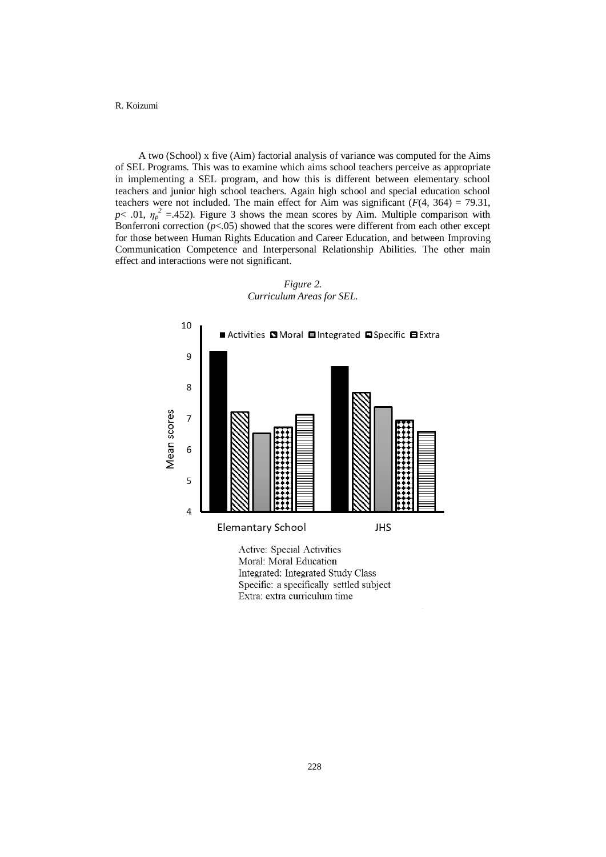A two (School) x five (Aim) factorial analysis of variance was computed for the Aims of SEL Programs. This was to examine which aims school teachers perceive as appropriate in implementing a SEL program, and how this is different between elementary school teachers and junior high school teachers. Again high school and special education school teachers were not included. The main effect for Aim was significant  $(F(4, 364) = 79.31$ ,  $p$ < .01,  $\eta_p^2$  =.452). Figure 3 shows the mean scores by Aim. Multiple comparison with Bonferroni correction  $(p<.05)$  showed that the scores were different from each other except for those between Human Rights Education and Career Education, and between Improving Communication Competence and Interpersonal Relationship Abilities. The other main effect and interactions were not significant.



*Figure 2. Curriculum Areas for SEL.*

Moral: Moral Education Integrated: Integrated Study Class Specific: a specifically settled subject Extra: extra curriculum time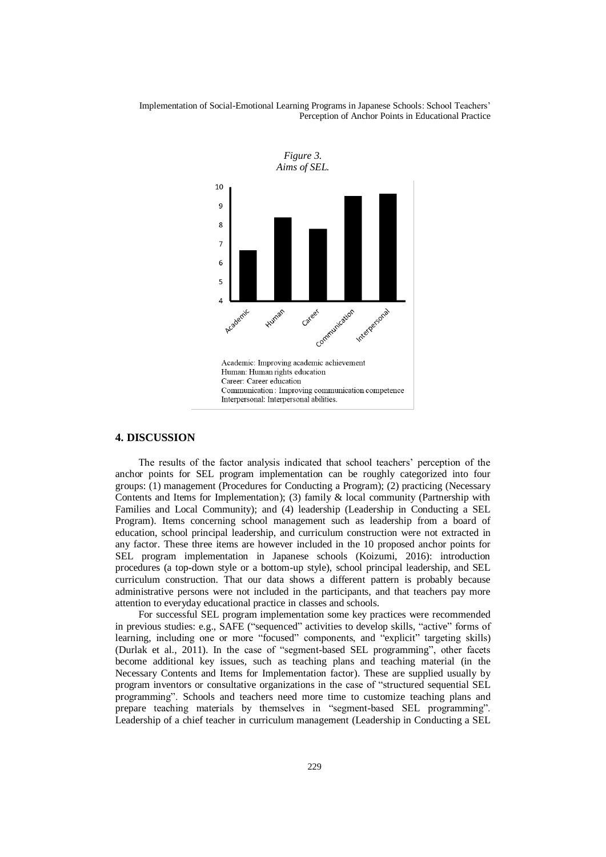

#### **4. DISCUSSION**

The results of the factor analysis indicated that school teachers' perception of the anchor points for SEL program implementation can be roughly categorized into four groups: (1) management (Procedures for Conducting a Program); (2) practicing (Necessary Contents and Items for Implementation); (3) family & local community (Partnership with Families and Local Community); and (4) leadership (Leadership in Conducting a SEL Program). Items concerning school management such as leadership from a board of education, school principal leadership, and curriculum construction were not extracted in any factor. These three items are however included in the 10 proposed anchor points for SEL program implementation in Japanese schools (Koizumi, 2016): introduction procedures (a top-down style or a bottom-up style), school principal leadership, and SEL curriculum construction. That our data shows a different pattern is probably because administrative persons were not included in the participants, and that teachers pay more attention to everyday educational practice in classes and schools.

For successful SEL program implementation some key practices were recommended in previous studies: e.g., SAFE ("sequenced" activities to develop skills, "active" forms of learning, including one or more "focused" components, and "explicit" targeting skills) (Durlak et al., 2011). In the case of "segment-based SEL programming", other facets become additional key issues, such as teaching plans and teaching material (in the Necessary Contents and Items for Implementation factor). These are supplied usually by program inventors or consultative organizations in the case of "structured sequential SEL programming". Schools and teachers need more time to customize teaching plans and prepare teaching materials by themselves in "segment-based SEL programming". Leadership of a chief teacher in curriculum management (Leadership in Conducting a SEL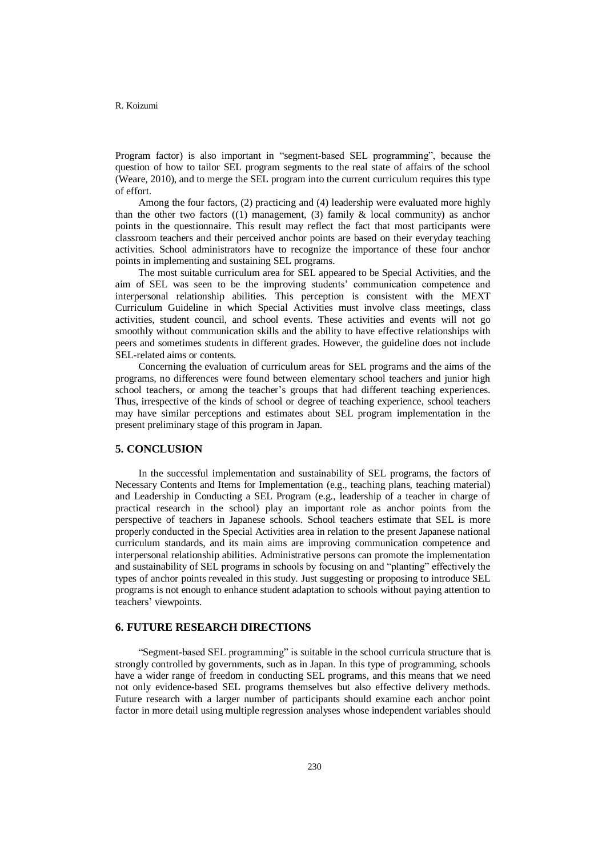Program factor) is also important in "segment-based SEL programming", because the question of how to tailor SEL program segments to the real state of affairs of the school (Weare, 2010), and to merge the SEL program into the current curriculum requires this type of effort.

Among the four factors, (2) practicing and (4) leadership were evaluated more highly than the other two factors  $((1)$  management,  $(3)$  family & local community) as anchor points in the questionnaire. This result may reflect the fact that most participants were classroom teachers and their perceived anchor points are based on their everyday teaching activities. School administrators have to recognize the importance of these four anchor points in implementing and sustaining SEL programs.

The most suitable curriculum area for SEL appeared to be Special Activities, and the aim of SEL was seen to be the improving students' communication competence and interpersonal relationship abilities. This perception is consistent with the MEXT Curriculum Guideline in which Special Activities must involve class meetings, class activities, student council, and school events. These activities and events will not go smoothly without communication skills and the ability to have effective relationships with peers and sometimes students in different grades. However, the guideline does not include SEL-related aims or contents.

Concerning the evaluation of curriculum areas for SEL programs and the aims of the programs, no differences were found between elementary school teachers and junior high school teachers, or among the teacher's groups that had different teaching experiences. Thus, irrespective of the kinds of school or degree of teaching experience, school teachers may have similar perceptions and estimates about SEL program implementation in the present preliminary stage of this program in Japan.

## **5. CONCLUSION**

In the successful implementation and sustainability of SEL programs, the factors of Necessary Contents and Items for Implementation (e.g., teaching plans, teaching material) and Leadership in Conducting a SEL Program (e.g., leadership of a teacher in charge of practical research in the school) play an important role as anchor points from the perspective of teachers in Japanese schools. School teachers estimate that SEL is more properly conducted in the Special Activities area in relation to the present Japanese national curriculum standards, and its main aims are improving communication competence and interpersonal relationship abilities. Administrative persons can promote the implementation and sustainability of SEL programs in schools by focusing on and "planting" effectively the types of anchor points revealed in this study. Just suggesting or proposing to introduce SEL programs is not enough to enhance student adaptation to schools without paying attention to teachers' viewpoints.

## **6. FUTURE RESEARCH DIRECTIONS**

"Segment-based SEL programming" is suitable in the school curricula structure that is strongly controlled by governments, such as in Japan. In this type of programming, schools have a wider range of freedom in conducting SEL programs, and this means that we need not only evidence-based SEL programs themselves but also effective delivery methods. Future research with a larger number of participants should examine each anchor point factor in more detail using multiple regression analyses whose independent variables should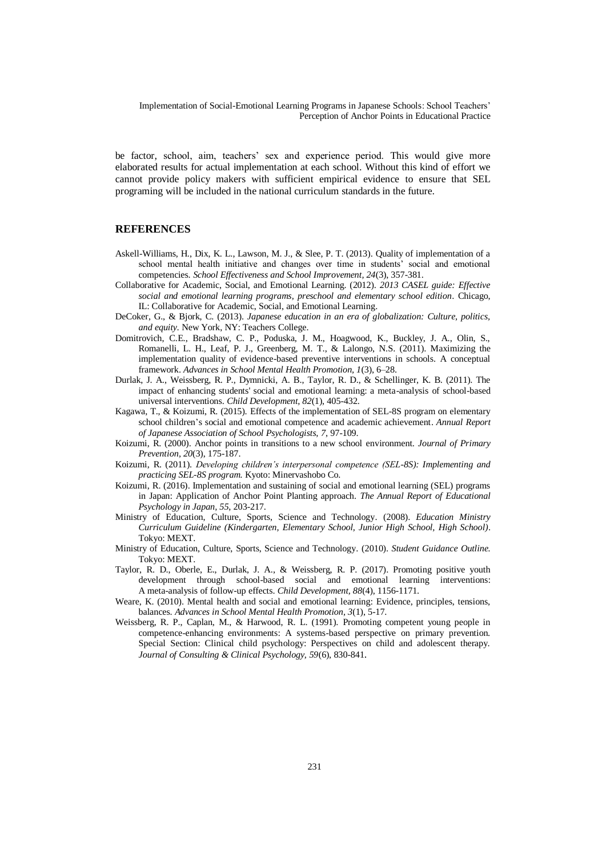be factor, school, aim, teachers' sex and experience period. This would give more elaborated results for actual implementation at each school. Without this kind of effort we cannot provide policy makers with sufficient empirical evidence to ensure that SEL programing will be included in the national curriculum standards in the future.

## **REFERENCES**

- Askell-Williams, H., Dix, K. L., Lawson, M. J., & Slee, P. T. (2013). Quality of implementation of a school mental health initiative and changes over time in students' social and emotional competencies. *School Effectiveness and School Improvement, 24*(3), 357-381.
- Collaborative for Academic, Social, and Emotional Learning. (2012). *2013 CASEL guide: Effective social and emotional learning programs, preschool and elementary school edition*. Chicago, IL: Collaborative for Academic, Social, and Emotional Learning.
- DeCoker, G., & Bjork, C. (2013). *Japanese education in an era of globalization: Culture, politics, and equity.* New York, NY: Teachers College.
- Domitrovich, C.E., Bradshaw, C. P., Poduska, J. M., Hoagwood, K., Buckley, J. A., Olin, S., Romanelli, L. H., Leaf, P. J., Greenberg, M. T., & Lalongo, N.S. (2011). Maximizing the implementation quality of evidence-based preventive interventions in schools. A conceptual framework. *Advances in School Mental Health Promotion, 1*(3), 6–28.
- Durlak, J. A., Weissberg, R. P., Dymnicki, A. B., Taylor, R. D., & Schellinger, K. B. (2011). The impact of enhancing students' social and emotional learning: a meta-analysis of school-based universal interventions. *Child Development, 82*(1), 405-432.
- Kagawa, T., & Koizumi, R. (2015). Effects of the implementation of SEL-8S program on elementary school children's social and emotional competence and academic achievement. *Annual Report of Japanese Association of School Psychologists, 7*, 97-109.
- Koizumi, R. (2000). Anchor points in transitions to a new school environment. *Journal of Primary Prevention, 20*(3), 175-187.
- Koizumi, R. (2011). *Developing children's interpersonal competence (SEL-8S): Implementing and practicing SEL-8S program.* Kyoto: Minervashobo Co.
- Koizumi, R. (2016). Implementation and sustaining of social and emotional learning (SEL) programs in Japan: Application of Anchor Point Planting approach. *The Annual Report of Educational Psychology in Japan, 55*, 203-217.
- Ministry of Education, Culture, Sports, Science and Technology. (2008). *Education Ministry Curriculum Guideline (Kindergarten, Elementary School, Junior High School, High School)*. Tokyo: MEXT.
- Ministry of Education, Culture, Sports, Science and Technology. (2010). *Student Guidance Outline.* Tokyo: MEXT.
- Taylor, R. D., Oberle, E., Durlak, J. A., & Weissberg, R. P. (2017). Promoting positive youth development through school-based social and emotional learning interventions: A meta-analysis of follow-up effects. *Child Development, 88*(4), 1156-1171.
- Weare, K. (2010). Mental health and social and emotional learning: Evidence, principles, tensions, balances. *Advances in School Mental Health Promotion, 3*(1), 5-17.
- Weissberg, R. P., Caplan, M., & Harwood, R. L. (1991). Promoting competent young people in competence-enhancing environments: A systems-based perspective on primary prevention. Special Section: Clinical child psychology: Perspectives on child and adolescent therapy. *Journal of Consulting & Clinical Psychology, 59*(6), 830-841.